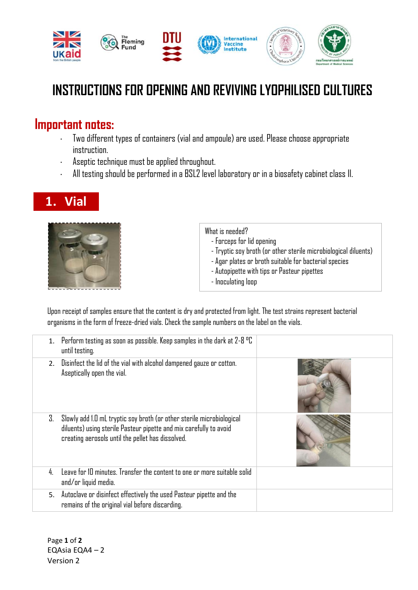

## **INSTRUCTIONS FOR OPENING AND REVIVING LYOPHILISED CULTURES**

## **Important notes:**

- Two different types of containers (vial and ampoule) are used. Please choose appropriate instruction.
- Aseptic technique must be applied throughout.
- All testing should be performed in a BSL2 level laboratory or in a biosafety cabinet class II.

## **1. Vial**



What is needed?

- Forceps for lid opening
- Tryptic soy broth (or other sterile microbiological diluents)
- Agar plates or broth suitable for bacterial species
- Autopipette with tips or Pasteur pipettes
- Inoculating loop

Upon receipt of samples ensure that the content is dry and protected from light. The test strains represent bacterial organisms in the form of freeze-dried vials. Check the sample numbers on the label on the vials.

|    | 1. Perform testing as soon as possible. Keep samples in the dark at $2-8$ °C<br>until testing.                                                                                                   |  |
|----|--------------------------------------------------------------------------------------------------------------------------------------------------------------------------------------------------|--|
| 2. | Disinfect the lid of the vial with alcohol dampened gauze or cotton.<br>Aseptically open the vial.                                                                                               |  |
| З. | Slowly add 1.0 mL tryptic soy broth (or other sterile microbiological<br>diluents) using sterile Pasteur pipette and mix carefully to avoid<br>creating aerosols until the pellet has dissolved. |  |
| 4  | Leave for 10 minutes. Transfer the content to one or more suitable solid<br>and/or liquid media.                                                                                                 |  |
| 5. | Autoclave or disinfect effectively the used Pasteur pipette and the<br>remains of the original vial before discarding.                                                                           |  |

Page **1** of **2** EQAsia EQA4 – 2 Version 2